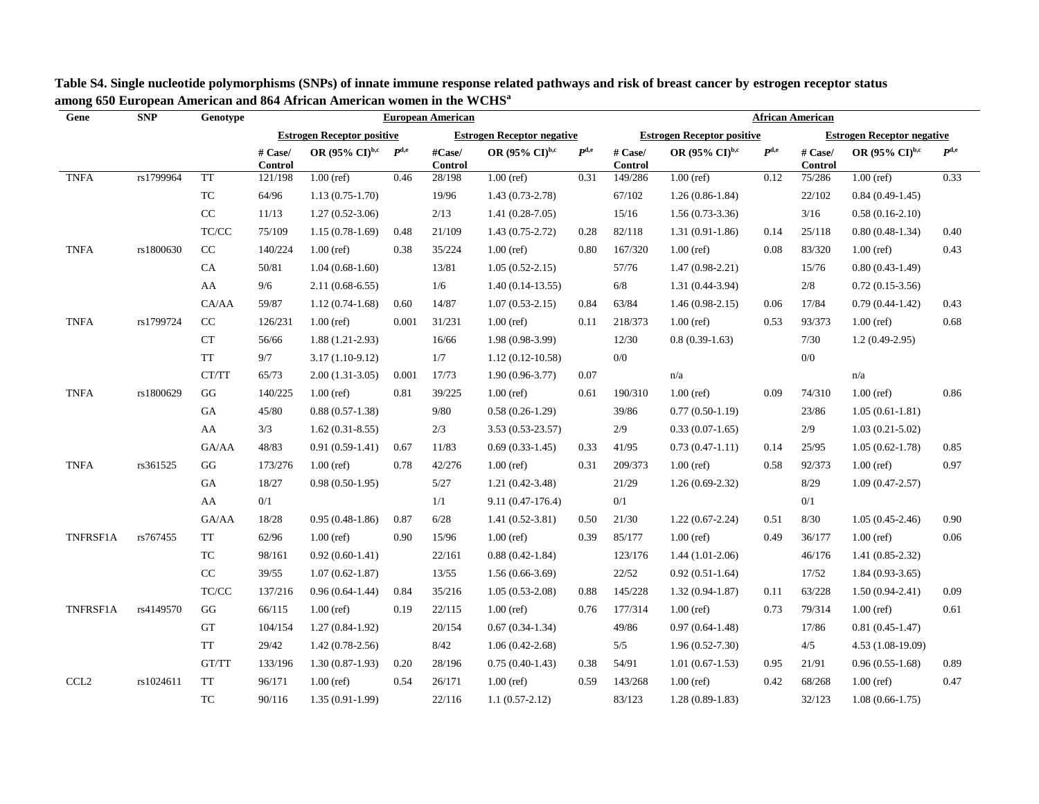| Gene        | <b>SNP</b> | Genotype                                                 | <b>European American</b> |                                   |           |                          |                                     |                    | <b>African American</b> |                                     |           |                                   |                                     |           |  |
|-------------|------------|----------------------------------------------------------|--------------------------|-----------------------------------|-----------|--------------------------|-------------------------------------|--------------------|-------------------------|-------------------------------------|-----------|-----------------------------------|-------------------------------------|-----------|--|
|             |            |                                                          |                          | <b>Estrogen Receptor positive</b> |           |                          | <b>Estrogen Receptor negative</b>   |                    |                         | <b>Estrogen Receptor positive</b>   |           | <b>Estrogen Receptor negative</b> |                                     |           |  |
|             |            |                                                          | # Case/<br>Control       | OR (95% $\rm{CI}^{\rm{b,c}}$      | $P^{d,e}$ | #Case/<br><b>Control</b> | OR $(95\% \text{ CI})^{\text{b,c}}$ | $P$ <sub>d,e</sub> | # Case/<br>Control      | OR $(95\% \text{ CI})^{\text{b,c}}$ | $P^{d,e}$ | # Case/<br><b>Control</b>         | OR $(95\% \text{ CI})^{\text{b,c}}$ | $P^{d,e}$ |  |
| <b>TNFA</b> | rs1799964  | <b>TT</b>                                                | 121/198                  | $1.00$ (ref)                      | 0.46      | 28/198                   | $1.00$ (ref)                        | 0.31               | 149/286                 | $1.00$ (ref)                        | 0.12      | 75/286                            | $1.00$ (ref)                        | 0.33      |  |
|             |            | TC                                                       | 64/96                    | $1.13(0.75-1.70)$                 |           | 19/96                    | $1.43(0.73-2.78)$                   |                    | 67/102                  | $1.26(0.86-1.84)$                   |           | 22/102                            | $0.84(0.49-1.45)$                   |           |  |
|             |            | $\rm CC$                                                 | 11/13                    | $1.27(0.52 - 3.06)$               |           | 2/13                     | $1.41(0.28-7.05)$                   |                    | 15/16                   | $1.56(0.73-3.36)$                   |           | 3/16                              | $0.58(0.16-2.10)$                   |           |  |
|             |            | $\ensuremath{\mathsf{T}\mathsf{C}/\mathsf{C}\mathsf{C}}$ | 75/109                   | $1.15(0.78-1.69)$                 | 0.48      | 21/109                   | $1.43(0.75-2.72)$                   | 0.28               | 82/118                  | $1.31(0.91-1.86)$                   | 0.14      | 25/118                            | $0.80(0.48-1.34)$                   | 0.40      |  |
| <b>TNFA</b> | rs1800630  | CC                                                       | 140/224                  | $1.00$ (ref)                      | 0.38      | 35/224                   | $1.00$ (ref)                        | 0.80               | 167/320                 | $1.00$ (ref)                        | 0.08      | 83/320                            | $1.00$ (ref)                        | 0.43      |  |
|             |            | ${\rm CA}$                                               | 50/81                    | $1.04(0.68-1.60)$                 |           | 13/81                    | $1.05(0.52 - 2.15)$                 |                    | 57/76                   | $1.47(0.98-2.21)$                   |           | 15/76                             | $0.80(0.43-1.49)$                   |           |  |
|             |            | AA                                                       | 9/6                      | $2.11(0.68-6.55)$                 |           | 1/6                      | $1.40(0.14-13.55)$                  |                    | $6/8$                   | $1.31(0.44-3.94)$                   |           | 2/8                               | $0.72(0.15-3.56)$                   |           |  |
|             |            | CA/AA                                                    | 59/87                    | $1.12(0.74-1.68)$                 | 0.60      | 14/87                    | $1.07(0.53 - 2.15)$                 | 0.84               | 63/84                   | $1.46(0.98-2.15)$                   | 0.06      | 17/84                             | $0.79(0.44-1.42)$                   | 0.43      |  |
| <b>TNFA</b> | rs1799724  | $\rm CC$                                                 | 126/231                  | $1.00$ (ref)                      | 0.001     | 31/231                   | $1.00$ (ref)                        | 0.11               | 218/373                 | $1.00$ (ref)                        | 0.53      | 93/373                            | $1.00$ (ref)                        | 0.68      |  |
|             |            | CT                                                       | 56/66                    | $1.88(1.21-2.93)$                 |           | 16/66                    | $1.98(0.98-3.99)$                   |                    | 12/30                   | $0.8(0.39-1.63)$                    |           | 7/30                              | $1.2(0.49-2.95)$                    |           |  |
|             |            | $\operatorname{TT}$                                      | 9/7                      | $3.17(1.10-9.12)$                 |           | 1/7                      | $1.12(0.12 - 10.58)$                |                    | $0/0$                   |                                     |           | $0/0$                             |                                     |           |  |
|             |            | CT/TT                                                    | 65/73                    | $2.00(1.31-3.05)$                 | 0.001     | 17/73                    | $1.90(0.96 - 3.77)$                 | 0.07               |                         | n/a                                 |           |                                   | n/a                                 |           |  |
| <b>TNFA</b> | rs1800629  | $\mathbf{G}\mathbf{G}$                                   | 140/225                  | $1.00$ (ref)                      | 0.81      | 39/225                   | $1.00$ (ref)                        | 0.61               | 190/310                 | $1.00$ (ref)                        | 0.09      | 74/310                            | $1.00$ (ref)                        | 0.86      |  |
|             |            | GA                                                       | 45/80                    | $0.88(0.57-1.38)$                 |           | 9/80                     | $0.58(0.26-1.29)$                   |                    | 39/86                   | $0.77(0.50-1.19)$                   |           | 23/86                             | $1.05(0.61-1.81)$                   |           |  |
|             |            | AA                                                       | 3/3                      | $1.62(0.31-8.55)$                 |           | 2/3                      | 3.53 (0.53-23.57)                   |                    | 2/9                     | $0.33(0.07-1.65)$                   |           | 2/9                               | $1.03(0.21-5.02)$                   |           |  |
|             |            | GA/AA                                                    | 48/83                    | $0.91(0.59-1.41)$                 | 0.67      | 11/83                    | $0.69(0.33-1.45)$                   | 0.33               | 41/95                   | $0.73(0.47-1.11)$                   | 0.14      | 25/95                             | $1.05(0.62 - 1.78)$                 | 0.85      |  |
| <b>TNFA</b> | rs361525   | GG                                                       | 173/276                  | $1.00$ (ref)                      | 0.78      | 42/276                   | $1.00$ (ref)                        | 0.31               | 209/373                 | $1.00$ (ref)                        | 0.58      | 92/373                            | $1.00$ (ref)                        | 0.97      |  |
|             |            | GA                                                       | 18/27                    | $0.98(0.50-1.95)$                 |           | 5/27                     | $1.21(0.42-3.48)$                   |                    | 21/29                   | $1.26(0.69-2.32)$                   |           | 8/29                              | $1.09(0.47 - 2.57)$                 |           |  |
|             |            | AA                                                       | 0/1                      |                                   |           | 1/1                      | $9.11(0.47-176.4)$                  |                    | $0/1$                   |                                     |           | 0/1                               |                                     |           |  |
|             |            | GA/AA                                                    | 18/28                    | $0.95(0.48-1.86)$                 | 0.87      | 6/28                     | $1.41(0.52 - 3.81)$                 | 0.50               | 21/30                   | $1.22(0.67-2.24)$                   | 0.51      | 8/30                              | $1.05(0.45-2.46)$                   | 0.90      |  |
| TNFRSF1A    | rs767455   | TT                                                       | 62/96                    | $1.00$ (ref)                      | 0.90      | 15/96                    | $1.00$ (ref)                        | 0.39               | 85/177                  | $1.00$ (ref)                        | 0.49      | 36/177                            | $1.00$ (ref)                        | 0.06      |  |
|             |            | TC                                                       | 98/161                   | $0.92(0.60-1.41)$                 |           | 22/161                   | $0.88(0.42 - 1.84)$                 |                    | 123/176                 | $1.44(1.01-2.06)$                   |           | 46/176                            | $1.41(0.85-2.32)$                   |           |  |
|             |            | $\rm CC$                                                 | 39/55                    | $1.07(0.62 - 1.87)$               |           | 13/55                    | $1.56(0.66-3.69)$                   |                    | 22/52                   | $0.92(0.51-1.64)$                   |           | 17/52                             | $1.84(0.93-3.65)$                   |           |  |
|             |            | TC/CC                                                    | 137/216                  | $0.96(0.64-1.44)$                 | 0.84      | 35/216                   | $1.05(0.53-2.08)$                   | 0.88               | 145/228                 | $1.32(0.94 - 1.87)$                 | 0.11      | 63/228                            | $1.50(0.94 - 2.41)$                 | 0.09      |  |
| TNFRSF1A    | rs4149570  | $\mathbf{G}\mathbf{G}$                                   | 66/115                   | $1.00$ (ref)                      | 0.19      | 22/115                   | $1.00$ (ref)                        | 0.76               | 177/314                 | $1.00$ (ref)                        | 0.73      | 79/314                            | $1.00$ (ref)                        | 0.61      |  |
|             |            | GT                                                       | 104/154                  | $1.27(0.84-1.92)$                 |           | 20/154                   | $0.67(0.34-1.34)$                   |                    | 49/86                   | $0.97(0.64 - 1.48)$                 |           | 17/86                             | $0.81(0.45-1.47)$                   |           |  |
|             |            | $\operatorname{TT}$                                      | 29/42                    | $1.42(0.78-2.56)$                 |           | 8/42                     | $1.06(0.42 - 2.68)$                 |                    | 5/5                     | $1.96(0.52 - 7.30)$                 |           | 4/5                               | $4.53(1.08-19.09)$                  |           |  |
|             |            | GT/TT                                                    | 133/196                  | $1.30(0.87-1.93)$                 | 0.20      | 28/196                   | $0.75(0.40-1.43)$                   | 0.38               | 54/91                   | $1.01(0.67-1.53)$                   | 0.95      | 21/91                             | $0.96(0.55-1.68)$                   | 0.89      |  |
| CCL2        | rs1024611  | <b>TT</b>                                                | 96/171                   | $1.00$ (ref)                      | 0.54      | 26/171                   | $1.00$ (ref)                        | 0.59               | 143/268                 | $1.00$ (ref)                        | 0.42      | 68/268                            | $1.00$ (ref)                        | 0.47      |  |
|             |            | TC                                                       | 90/116                   | $1.35(0.91-1.99)$                 |           | 22/116                   | $1.1(0.57-2.12)$                    |                    | 83/123                  | $1.28(0.89-1.83)$                   |           | 32/123                            | $1.08(0.66 - 1.75)$                 |           |  |

 **Table S4. Single nucleotide polymorphisms (SNPs) of innate immune response related pathways and risk of breast cancer by estrogen receptor status among 650 European American and 864 African American women in the WCHS<sup>a</sup>**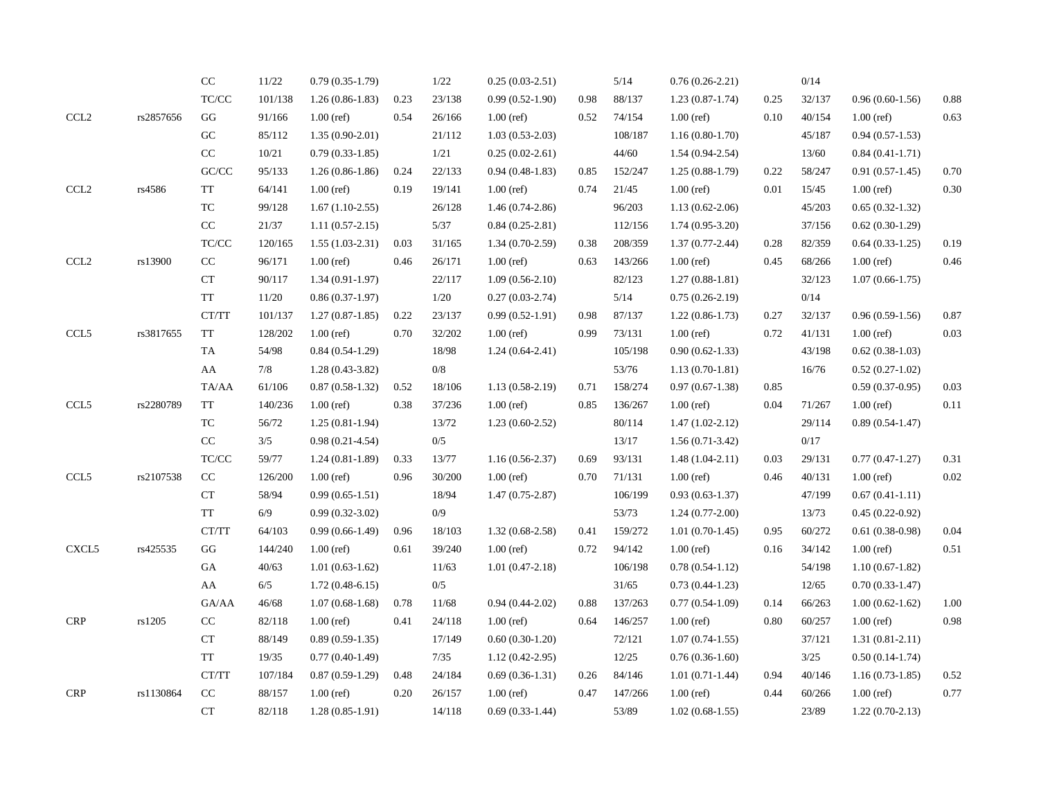|                                   |           | $\rm CC$                              | $11/22\,$ | $0.79(0.35-1.79)$   |      | 1/22   | $0.25(0.03-2.51)$   |      | 5/14    | $0.76(0.26-2.21)$   |      | 0/14   |                     |          |
|-----------------------------------|-----------|---------------------------------------|-----------|---------------------|------|--------|---------------------|------|---------|---------------------|------|--------|---------------------|----------|
|                                   |           | TC/CC                                 | 101/138   | $1.26(0.86-1.83)$   | 0.23 | 23/138 | $0.99(0.52-1.90)$   | 0.98 | 88/137  | $1.23(0.87-1.74)$   | 0.25 | 32/137 | $0.96(0.60-1.56)$   | 0.88     |
| $\ensuremath{\text{CCL2}}\xspace$ | rs2857656 | $\mathbf{G}\mathbf{G}$                | 91/166    | $1.00$ (ref)        | 0.54 | 26/166 | $1.00$ (ref)        | 0.52 | 74/154  | $1.00$ (ref)        | 0.10 | 40/154 | $1.00$ (ref)        | 0.63     |
|                                   |           | G <sub>C</sub>                        | 85/112    | $1.35(0.90-2.01)$   |      | 21/112 | $1.03(0.53-2.03)$   |      | 108/187 | $1.16(0.80-1.70)$   |      | 45/187 | $0.94(0.57-1.53)$   |          |
|                                   |           | $\rm CC$                              | 10/21     | $0.79(0.33-1.85)$   |      | 1/21   | $0.25(0.02-2.61)$   |      | 44/60   | $1.54(0.94-2.54)$   |      | 13/60  | $0.84(0.41-1.71)$   |          |
|                                   |           | GC/CC                                 | 95/133    | $1.26(0.86-1.86)$   | 0.24 | 22/133 | $0.94(0.48-1.83)$   | 0.85 | 152/247 | $1.25(0.88-1.79)$   | 0.22 | 58/247 | $0.91(0.57-1.45)$   | 0.70     |
| $\ensuremath{\text{CCL2}}\xspace$ | rs4586    | TT                                    | 64/141    | $1.00$ (ref)        | 0.19 | 19/141 | $1.00$ (ref)        | 0.74 | 21/45   | $1.00$ (ref)        | 0.01 | 15/45  | $1.00$ (ref)        | 0.30     |
|                                   |           | TC                                    | 99/128    | $1.67(1.10-2.55)$   |      | 26/128 | $1.46(0.74-2.86)$   |      | 96/203  | $1.13(0.62 - 2.06)$ |      | 45/203 | $0.65(0.32-1.32)$   |          |
|                                   |           | CC                                    | 21/37     | $1.11(0.57-2.15)$   |      | 5/37   | $0.84(0.25-2.81)$   |      | 112/156 | $1.74(0.95-3.20)$   |      | 37/156 | $0.62(0.30-1.29)$   |          |
|                                   |           | TC/CC                                 | 120/165   | $1.55(1.03-2.31)$   | 0.03 | 31/165 | $1.34(0.70-2.59)$   | 0.38 | 208/359 | $1.37(0.77-2.44)$   | 0.28 | 82/359 | $0.64(0.33-1.25)$   | 0.19     |
| $\ensuremath{\text{CCL2}}\xspace$ | rs13900   | $\rm CC$                              | 96/171    | $1.00$ (ref)        | 0.46 | 26/171 | $1.00$ (ref)        | 0.63 | 143/266 | $1.00$ (ref)        | 0.45 | 68/266 | $1.00$ (ref)        | 0.46     |
|                                   |           | CT                                    | 90/117    | $1.34(0.91-1.97)$   |      | 22/117 | $1.09(0.56-2.10)$   |      | 82/123  | $1.27(0.88-1.81)$   |      | 32/123 | $1.07(0.66 - 1.75)$ |          |
|                                   |           | <b>TT</b>                             | $11/20\,$ | $0.86(0.37-1.97)$   |      | 1/20   | $0.27(0.03-2.74)$   |      | $5/14$  | $0.75(0.26-2.19)$   |      | 0/14   |                     |          |
|                                   |           | CT/TT                                 | 101/137   | $1.27(0.87-1.85)$   | 0.22 | 23/137 | $0.99(0.52-1.91)$   | 0.98 | 87/137  | $1.22(0.86-1.73)$   | 0.27 | 32/137 | $0.96(0.59-1.56)$   | 0.87     |
| CCL5                              | rs3817655 | TT                                    | 128/202   | $1.00$ (ref)        | 0.70 | 32/202 | $1.00$ (ref)        | 0.99 | 73/131  | $1.00$ (ref)        | 0.72 | 41/131 | $1.00$ (ref)        | 0.03     |
|                                   |           | TA                                    | 54/98     | $0.84(0.54-1.29)$   |      | 18/98  | $1.24(0.64-2.41)$   |      | 105/198 | $0.90(0.62 - 1.33)$ |      | 43/198 | $0.62(0.38-1.03)$   |          |
|                                   |           | AA                                    | 7/8       | $1.28(0.43-3.82)$   |      | 0/8    |                     |      | 53/76   | $1.13(0.70-1.81)$   |      | 16/76  | $0.52(0.27-1.02)$   |          |
|                                   |           | TA/AA                                 | 61/106    | $0.87(0.58-1.32)$   | 0.52 | 18/106 | $1.13(0.58-2.19)$   | 0.71 | 158/274 | $0.97(0.67-1.38)$   | 0.85 |        | $0.59(0.37-0.95)$   | 0.03     |
| CCL5                              | rs2280789 | <b>TT</b>                             | 140/236   | $1.00$ (ref)        | 0.38 | 37/236 | $1.00$ (ref)        | 0.85 | 136/267 | $1.00$ (ref)        | 0.04 | 71/267 | $1.00$ (ref)        | 0.11     |
|                                   |           | TC                                    | 56/72     | $1.25(0.81-1.94)$   |      | 13/72  | $1.23(0.60-2.52)$   |      | 80/114  | $1.47(1.02 - 2.12)$ |      | 29/114 | $0.89(0.54-1.47)$   |          |
|                                   |           | $\rm CC$                              | $3/5$     | $0.98(0.21-4.54)$   |      | 0/5    |                     |      | 13/17   | $1.56(0.71-3.42)$   |      | 0/17   |                     |          |
|                                   |           | TC/CC                                 | 59/77     | $1.24(0.81-1.89)$   | 0.33 | 13/77  | $1.16(0.56-2.37)$   | 0.69 | 93/131  | $1.48(1.04-2.11)$   | 0.03 | 29/131 | $0.77(0.47-1.27)$   | 0.31     |
| CCL5                              | rs2107538 | $\rm CC$                              | 126/200   | $1.00$ (ref)        | 0.96 | 30/200 | $1.00$ (ref)        | 0.70 | 71/131  | $1.00$ (ref)        | 0.46 | 40/131 | $1.00$ (ref)        | $0.02\,$ |
|                                   |           | CT                                    | 58/94     | $0.99(0.65-1.51)$   |      | 18/94  | $1.47(0.75-2.87)$   |      | 106/199 | $0.93(0.63-1.37)$   |      | 47/199 | $0.67(0.41-1.11)$   |          |
|                                   |           | $\operatorname{TT}$                   | $6/9$     | $0.99(0.32 - 3.02)$ |      | 0/9    |                     |      | 53/73   | $1.24(0.77-2.00)$   |      | 13/73  | $0.45(0.22-0.92)$   |          |
|                                   |           | CT/TT                                 | 64/103    | $0.99(0.66-1.49)$   | 0.96 | 18/103 | $1.32(0.68-2.58)$   | 0.41 | 159/272 | $1.01(0.70-1.45)$   | 0.95 | 60/272 | $0.61(0.38-0.98)$   | 0.04     |
| CXCL <sub>5</sub>                 | rs425535  | GG                                    | 144/240   | $1.00$ (ref)        | 0.61 | 39/240 | $1.00$ (ref)        | 0.72 | 94/142  | $1.00$ (ref)        | 0.16 | 34/142 | $1.00$ (ref)        | 0.51     |
|                                   |           | GA                                    | 40/63     | $1.01(0.63-1.62)$   |      | 11/63  | $1.01(0.47-2.18)$   |      | 106/198 | $0.78(0.54-1.12)$   |      | 54/198 | $1.10(0.67-1.82)$   |          |
|                                   |           | AA                                    | 6/5       | $1.72(0.48-6.15)$   |      | 0/5    |                     |      | 31/65   | $0.73(0.44-1.23)$   |      | 12/65  | $0.70(0.33-1.47)$   |          |
|                                   |           | GA/AA                                 | 46/68     | $1.07(0.68-1.68)$   | 0.78 | 11/68  | $0.94(0.44-2.02)$   | 0.88 | 137/263 | $0.77(0.54-1.09)$   | 0.14 | 66/263 | $1.00(0.62 - 1.62)$ | 1.00     |
| <b>CRP</b>                        | rs1205    | $\rm CC$                              | 82/118    | $1.00$ (ref)        | 0.41 | 24/118 | $1.00$ (ref)        | 0.64 | 146/257 | $1.00$ (ref)        | 0.80 | 60/257 | $1.00$ (ref)        | 0.98     |
|                                   |           | CT                                    | 88/149    | $0.89(0.59-1.35)$   |      | 17/149 | $0.60(0.30-1.20)$   |      | 72/121  | $1.07(0.74-1.55)$   |      | 37/121 | $1.31(0.81 - 2.11)$ |          |
|                                   |           | <b>TT</b>                             | 19/35     | $0.77(0.40-1.49)$   |      | 7/35   | $1.12(0.42 - 2.95)$ |      | 12/25   | $0.76(0.36-1.60)$   |      | 3/25   | $0.50(0.14-1.74)$   |          |
|                                   |           | $\operatorname{CT}/\operatorname{TT}$ | 107/184   | $0.87(0.59-1.29)$   | 0.48 | 24/184 | $0.69(0.36-1.31)$   | 0.26 | 84/146  | $1.01(0.71-1.44)$   | 0.94 | 40/146 | $1.16(0.73-1.85)$   | 0.52     |
| <b>CRP</b>                        | rs1130864 | $\rm CC$                              | 88/157    | $1.00$ (ref)        | 0.20 | 26/157 | $1.00$ (ref)        | 0.47 | 147/266 | $1.00$ (ref)        | 0.44 | 60/266 | $1.00$ (ref)        | 0.77     |
|                                   |           | CT                                    | 82/118    | $1.28(0.85-1.91)$   |      | 14/118 | $0.69(0.33-1.44)$   |      | 53/89   | $1.02(0.68-1.55)$   |      | 23/89  | $1.22(0.70-2.13)$   |          |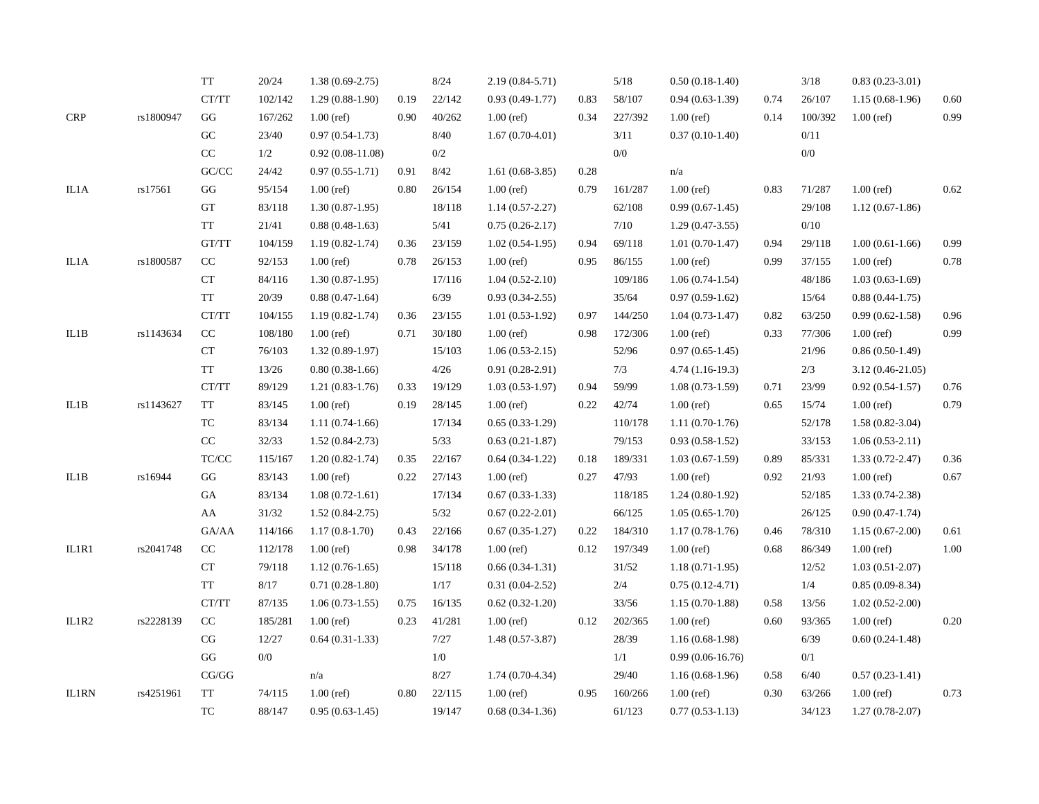|              |           | <b>TT</b>                             | 20/24   | $1.38(0.69-2.75)$   |      | 8/24    | $2.19(0.84 - 5.71)$ |      | $5/18$  | $0.50(0.18-1.40)$  |      | 3/18    | $0.83(0.23 - 3.01)$  |          |
|--------------|-----------|---------------------------------------|---------|---------------------|------|---------|---------------------|------|---------|--------------------|------|---------|----------------------|----------|
|              |           | $\operatorname{CT}/\operatorname{TT}$ | 102/142 | $1.29(0.88-1.90)$   | 0.19 | 22/142  | $0.93(0.49-1.77)$   | 0.83 | 58/107  | $0.94(0.63-1.39)$  | 0.74 | 26/107  | $1.15(0.68-1.96)$    | 0.60     |
| <b>CRP</b>   | rs1800947 | GG                                    | 167/262 | $1.00$ (ref)        | 0.90 | 40/262  | $1.00$ (ref)        | 0.34 | 227/392 | $1.00$ (ref)       | 0.14 | 100/392 | $1.00$ (ref)         | 0.99     |
|              |           | G <sub>C</sub>                        | 23/40   | $0.97(0.54-1.73)$   |      | 8/40    | $1.67(0.70-4.01)$   |      | 3/11    | $0.37(0.10-1.40)$  |      | 0/11    |                      |          |
|              |           | $\rm CC$                              | 1/2     | $0.92(0.08-11.08)$  |      | 0/2     |                     |      | 0/0     |                    |      | 0/0     |                      |          |
|              |           | $\mathrm{GC}/\mathrm{CC}$             | 24/42   | $0.97(0.55-1.71)$   | 0.91 | 8/42    | $1.61(0.68-3.85)$   | 0.28 |         | n/a                |      |         |                      |          |
| IL1A         | rs17561   | GG                                    | 95/154  | $1.00$ (ref)        | 0.80 | 26/154  | $1.00$ (ref)        | 0.79 | 161/287 | $1.00$ (ref)       | 0.83 | 71/287  | $1.00$ (ref)         | 0.62     |
|              |           | GT                                    | 83/118  | $1.30(0.87-1.95)$   |      | 18/118  | $1.14(0.57-2.27)$   |      | 62/108  | $0.99(0.67-1.45)$  |      | 29/108  | $1.12(0.67-1.86)$    |          |
|              |           | <b>TT</b>                             | 21/41   | $0.88(0.48-1.63)$   |      | 5/41    | $0.75(0.26-2.17)$   |      | $7/10$  | $1.29(0.47-3.55)$  |      | 0/10    |                      |          |
|              |           | GT/TT                                 | 104/159 | $1.19(0.82 - 1.74)$ | 0.36 | 23/159  | $1.02(0.54-1.95)$   | 0.94 | 69/118  | $1.01(0.70-1.47)$  | 0.94 | 29/118  | $1.00(0.61-1.66)$    | 0.99     |
| IL1A         | rs1800587 | CC                                    | 92/153  | $1.00$ (ref)        | 0.78 | 26/153  | $1.00$ (ref)        | 0.95 | 86/155  | $1.00$ (ref)       | 0.99 | 37/155  | $1.00$ (ref)         | 0.78     |
|              |           | CT                                    | 84/116  | $1.30(0.87-1.95)$   |      | 17/116  | $1.04(0.52-2.10)$   |      | 109/186 | $1.06(0.74-1.54)$  |      | 48/186  | $1.03(0.63-1.69)$    |          |
|              |           | $\operatorname{TT}$                   | 20/39   | $0.88(0.47-1.64)$   |      | 6/39    | $0.93(0.34-2.55)$   |      | 35/64   | $0.97(0.59-1.62)$  |      | 15/64   | $0.88(0.44-1.75)$    |          |
|              |           | CT/TT                                 | 104/155 | $1.19(0.82 - 1.74)$ | 0.36 | 23/155  | $1.01(0.53-1.92)$   | 0.97 | 144/250 | $1.04(0.73-1.47)$  | 0.82 | 63/250  | $0.99(0.62 - 1.58)$  | 0.96     |
| IL1B         | rs1143634 | $\rm CC$                              | 108/180 | $1.00$ (ref)        | 0.71 | 30/180  | $1.00$ (ref)        | 0.98 | 172/306 | $1.00$ (ref)       | 0.33 | 77/306  | $1.00$ (ref)         | 0.99     |
|              |           | ${\cal C}{\cal T}$                    | 76/103  | $1.32(0.89-1.97)$   |      | 15/103  | $1.06(0.53-2.15)$   |      | 52/96   | $0.97(0.65-1.45)$  |      | 21/96   | $0.86(0.50-1.49)$    |          |
|              |           | <b>TT</b>                             | 13/26   | $0.80(0.38-1.66)$   |      | 4/26    | $0.91(0.28-2.91)$   |      | 7/3     | $4.74(1.16-19.3)$  |      | 2/3     | $3.12(0.46 - 21.05)$ |          |
|              |           | $\operatorname{CT}/\operatorname{TT}$ | 89/129  | $1.21(0.83-1.76)$   | 0.33 | 19/129  | $1.03(0.53-1.97)$   | 0.94 | 59/99   | $1.08(0.73-1.59)$  | 0.71 | 23/99   | $0.92(0.54-1.57)$    | $0.76\,$ |
| $\rm IL1B$   | rs1143627 | <b>TT</b>                             | 83/145  | $1.00$ (ref)        | 0.19 | 28/145  | $1.00$ (ref)        | 0.22 | 42/74   | $1.00$ (ref)       | 0.65 | 15/74   | $1.00$ (ref)         | 0.79     |
|              |           | ${\rm TC}$                            | 83/134  | $1.11(0.74-1.66)$   |      | 17/134  | $0.65(0.33-1.29)$   |      | 110/178 | $1.11(0.70-1.76)$  |      | 52/178  | $1.58(0.82 - 3.04)$  |          |
|              |           | $\rm CC$                              | 32/33   | $1.52(0.84-2.73)$   |      | 5/33    | $0.63(0.21-1.87)$   |      | 79/153  | $0.93(0.58-1.52)$  |      | 33/153  | $1.06(0.53-2.11)$    |          |
|              |           | TC/CC                                 | 115/167 | $1.20(0.82 - 1.74)$ | 0.35 | 22/167  | $0.64(0.34-1.22)$   | 0.18 | 189/331 | $1.03(0.67-1.59)$  | 0.89 | 85/331  | $1.33(0.72 - 2.47)$  | 0.36     |
| IL1B         | rs16944   | GG                                    | 83/143  | $1.00$ (ref)        | 0.22 | 27/143  | $1.00$ (ref)        | 0.27 | 47/93   | $1.00$ (ref)       | 0.92 | 21/93   | $1.00$ (ref)         | 0.67     |
|              |           | GA                                    | 83/134  | $1.08(0.72 - 1.61)$ |      | 17/134  | $0.67(0.33-1.33)$   |      | 118/185 | $1.24(0.80-1.92)$  |      | 52/185  | $1.33(0.74-2.38)$    |          |
|              |           | AA                                    | 31/32   | $1.52(0.84-2.75)$   |      | $5/32$  | $0.67(0.22 - 2.01)$ |      | 66/125  | $1.05(0.65-1.70)$  |      | 26/125  | $0.90(0.47-1.74)$    |          |
|              |           | GA/AA                                 | 114/166 | $1.17(0.8-1.70)$    | 0.43 | 22/166  | $0.67(0.35-1.27)$   | 0.22 | 184/310 | $1.17(0.78-1.76)$  | 0.46 | 78/310  | $1.15(0.67-2.00)$    | 0.61     |
| IL1R1        | rs2041748 | $\rm CC$                              | 112/178 | $1.00$ (ref)        | 0.98 | 34/178  | $1.00$ (ref)        | 0.12 | 197/349 | $1.00$ (ref)       | 0.68 | 86/349  | $1.00$ (ref)         | $1.00\,$ |
|              |           | CT                                    | 79/118  | $1.12(0.76-1.65)$   |      | 15/118  | $0.66(0.34-1.31)$   |      | 31/52   | $1.18(0.71-1.95)$  |      | 12/52   | $1.03(0.51-2.07)$    |          |
|              |           | <b>TT</b>                             | 8/17    | $0.71(0.28-1.80)$   |      | 1/17    | $0.31(0.04-2.52)$   |      | 2/4     | $0.75(0.12-4.71)$  |      | 1/4     | $0.85(0.09-8.34)$    |          |
|              |           | CT/TT                                 | 87/135  | $1.06(0.73-1.55)$   | 0.75 | 16/135  | $0.62(0.32-1.20)$   |      | 33/56   | $1.15(0.70-1.88)$  | 0.58 | 13/56   | $1.02(0.52 - 2.00)$  |          |
| IL1R2        | rs2228139 | CC                                    | 185/281 | $1.00$ (ref)        | 0.23 | 41/281  | $1.00$ (ref)        | 0.12 | 202/365 | $1.00$ (ref)       | 0.60 | 93/365  | $1.00$ (ref)         | 0.20     |
|              |           | $\mathbf{CG}$                         | 12/27   | $0.64(0.31-1.33)$   |      | 7/27    | $1.48(0.57-3.87)$   |      | 28/39   | $1.16(0.68-1.98)$  |      | 6/39    | $0.60(0.24-1.48)$    |          |
|              |           | GG                                    | $0/0$   |                     |      | $1/0\,$ |                     |      | 1/1     | $0.99(0.06-16.76)$ |      | 0/1     |                      |          |
|              |           | $\mathbf{CG}/\mathbf{GG}$             |         | n/a                 |      | 8/27    | $1.74(0.70-4.34)$   |      | 29/40   | $1.16(0.68-1.96)$  | 0.58 | 6/40    | $0.57(0.23-1.41)$    |          |
| <b>IL1RN</b> | rs4251961 | <b>TT</b>                             | 74/115  | $1.00$ (ref)        | 0.80 | 22/115  | $1.00$ (ref)        | 0.95 | 160/266 | $1.00$ (ref)       | 0.30 | 63/266  | $1.00$ (ref)         | 0.73     |
|              |           | TC                                    | 88/147  | $0.95(0.63-1.45)$   |      | 19/147  | $0.68(0.34-1.36)$   |      | 61/123  | $0.77(0.53-1.13)$  |      | 34/123  | $1.27(0.78-2.07)$    |          |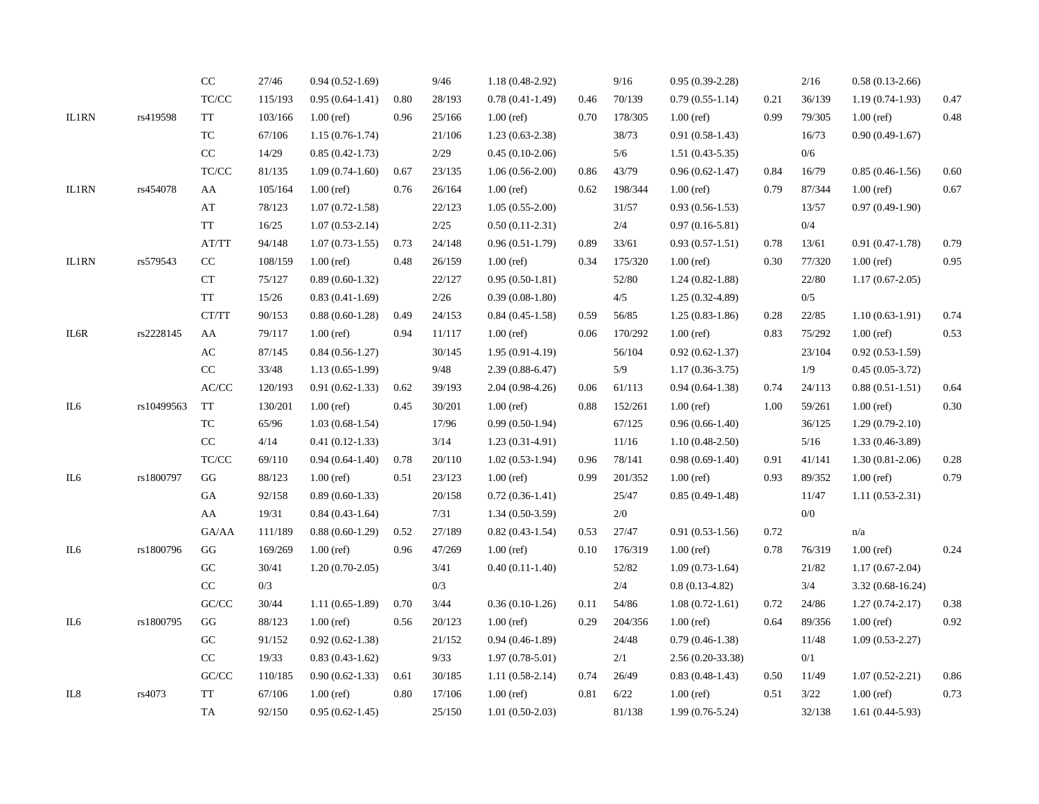|              |            | $\rm CC$                                                 | 27/46   | $0.94(0.52-1.69)$   |      | 9/46   | $1.18(0.48-2.92)$ |      | 9/16    | $0.95(0.39-2.28)$   |      | 2/16   | $0.58(0.13-2.66)$   |      |
|--------------|------------|----------------------------------------------------------|---------|---------------------|------|--------|-------------------|------|---------|---------------------|------|--------|---------------------|------|
|              |            | $\ensuremath{\mathsf{T}\mathsf{C}/\mathsf{C}\mathsf{C}}$ | 115/193 | $0.95(0.64-1.41)$   | 0.80 | 28/193 | $0.78(0.41-1.49)$ | 0.46 | 70/139  | $0.79(0.55-1.14)$   | 0.21 | 36/139 | $1.19(0.74-1.93)$   | 0.47 |
| IL1RN        | rs419598   | $\operatorname{TT}$                                      | 103/166 | $1.00$ (ref)        | 0.96 | 25/166 | $1.00$ (ref)      | 0.70 | 178/305 | $1.00$ (ref)        | 0.99 | 79/305 | $1.00$ (ref)        | 0.48 |
|              |            | ${\rm TC}$                                               | 67/106  | $1.15(0.76-1.74)$   |      | 21/106 | $1.23(0.63-2.38)$ |      | 38/73   | $0.91(0.58-1.43)$   |      | 16/73  | $0.90(0.49-1.67)$   |      |
|              |            | CC                                                       | 14/29   | $0.85(0.42 - 1.73)$ |      | 2/29   | $0.45(0.10-2.06)$ |      | 5/6     | $1.51(0.43 - 5.35)$ |      | 0/6    |                     |      |
|              |            | $\ensuremath{\mathsf{T}\mathsf{C}/\mathsf{C}\mathsf{C}}$ | 81/135  | $1.09(0.74-1.60)$   | 0.67 | 23/135 | $1.06(0.56-2.00)$ | 0.86 | 43/79   | $0.96(0.62 - 1.47)$ | 0.84 | 16/79  | $0.85(0.46-1.56)$   | 0.60 |
| <b>IL1RN</b> | rs454078   | AA                                                       | 105/164 | $1.00$ (ref)        | 0.76 | 26/164 | $1.00$ (ref)      | 0.62 | 198/344 | $1.00$ (ref)        | 0.79 | 87/344 | $1.00$ (ref)        | 0.67 |
|              |            | AT                                                       | 78/123  | $1.07(0.72 - 1.58)$ |      | 22/123 | $1.05(0.55-2.00)$ |      | 31/57   | $0.93(0.56-1.53)$   |      | 13/57  | $0.97(0.49-1.90)$   |      |
|              |            | <b>TT</b>                                                | 16/25   | $1.07(0.53 - 2.14)$ |      | 2/25   | $0.50(0.11-2.31)$ |      | 2/4     | $0.97(0.16 - 5.81)$ |      | 0/4    |                     |      |
|              |            | AT/TT                                                    | 94/148  | $1.07(0.73-1.55)$   | 0.73 | 24/148 | $0.96(0.51-1.79)$ | 0.89 | 33/61   | $0.93(0.57-1.51)$   | 0.78 | 13/61  | $0.91(0.47-1.78)$   | 0.79 |
| <b>IL1RN</b> | rs579543   | CC                                                       | 108/159 | $1.00$ (ref)        | 0.48 | 26/159 | $1.00$ (ref)      | 0.34 | 175/320 | $1.00$ (ref)        | 0.30 | 77/320 | $1.00$ (ref)        | 0.95 |
|              |            | CT                                                       | 75/127  | $0.89(0.60-1.32)$   |      | 22/127 | $0.95(0.50-1.81)$ |      | 52/80   | $1.24(0.82 - 1.88)$ |      | 22/80  | $1.17(0.67-2.05)$   |      |
|              |            | TT                                                       | 15/26   | $0.83(0.41-1.69)$   |      | 2/26   | $0.39(0.08-1.80)$ |      | 4/5     | $1.25(0.32-4.89)$   |      | 0/5    |                     |      |
|              |            | CT/TT                                                    | 90/153  | $0.88(0.60-1.28)$   | 0.49 | 24/153 | $0.84(0.45-1.58)$ | 0.59 | 56/85   | $1.25(0.83-1.86)$   | 0.28 | 22/85  | $1.10(0.63-1.91)$   | 0.74 |
| IL6R         | rs2228145  | AA                                                       | 79/117  | $1.00$ (ref)        | 0.94 | 11/117 | $1.00$ (ref)      | 0.06 | 170/292 | $1.00$ (ref)        | 0.83 | 75/292 | $1.00$ (ref)        | 0.53 |
|              |            | $\mathbf{A}\mathbf{C}$                                   | 87/145  | $0.84(0.56-1.27)$   |      | 30/145 | $1.95(0.91-4.19)$ |      | 56/104  | $0.92(0.62 - 1.37)$ |      | 23/104 | $0.92(0.53-1.59)$   |      |
|              |            | $\rm CC$                                                 | 33/48   | $1.13(0.65-1.99)$   |      | 9/48   | $2.39(0.88-6.47)$ |      | 5/9     | $1.17(0.36 - 3.75)$ |      | 1/9    | $0.45(0.05-3.72)$   |      |
|              |            | $\operatorname{AC/CC}$                                   | 120/193 | $0.91(0.62-1.33)$   | 0.62 | 39/193 | $2.04(0.98-4.26)$ | 0.06 | 61/113  | $0.94(0.64-1.38)$   | 0.74 | 24/113 | $0.88(0.51-1.51)$   | 0.64 |
| IL6          | rs10499563 | <b>TT</b>                                                | 130/201 | $1.00$ (ref)        | 0.45 | 30/201 | $1.00$ (ref)      | 0.88 | 152/261 | $1.00$ (ref)        | 1.00 | 59/261 | $1.00$ (ref)        | 0.30 |
|              |            | $\protect\operatorname{TC}$                              | 65/96   | $1.03(0.68-1.54)$   |      | 17/96  | $0.99(0.50-1.94)$ |      | 67/125  | $0.96(0.66-1.40)$   |      | 36/125 | $1.29(0.79-2.10)$   |      |
|              |            | $\rm CC$                                                 | 4/14    | $0.41(0.12-1.33)$   |      | 3/14   | $1.23(0.31-4.91)$ |      | 11/16   | $1.10(0.48-2.50)$   |      | 5/16   | $1.33(0.46-3.89)$   |      |
|              |            | $\ensuremath{\mathsf{T}\mathsf{C}/\mathsf{C}\mathsf{C}}$ | 69/110  | $0.94(0.64-1.40)$   | 0.78 | 20/110 | $1.02(0.53-1.94)$ | 0.96 | 78/141  | $0.98(0.69-1.40)$   | 0.91 | 41/141 | $1.30(0.81-2.06)$   | 0.28 |
| IL6          | rs1800797  | GG                                                       | 88/123  | $1.00$ (ref)        | 0.51 | 23/123 | $1.00$ (ref)      | 0.99 | 201/352 | $1.00$ (ref)        | 0.93 | 89/352 | $1.00$ (ref)        | 0.79 |
|              |            | GA                                                       | 92/158  | $0.89(0.60-1.33)$   |      | 20/158 | $0.72(0.36-1.41)$ |      | 25/47   | $0.85(0.49-1.48)$   |      | 11/47  | $1.11(0.53-2.31)$   |      |
|              |            | AA                                                       | 19/31   | $0.84(0.43-1.64)$   |      | 7/31   | $1.34(0.50-3.59)$ |      | 2/0     |                     |      | $0/0$  |                     |      |
|              |            | GA/AA                                                    | 111/189 | $0.88(0.60-1.29)$   | 0.52 | 27/189 | $0.82(0.43-1.54)$ | 0.53 | 27/47   | $0.91(0.53-1.56)$   | 0.72 |        | n/a                 |      |
| IL6          | rs1800796  | GG                                                       | 169/269 | $1.00$ (ref)        | 0.96 | 47/269 | $1.00$ (ref)      | 0.10 | 176/319 | $1.00$ (ref)        | 0.78 | 76/319 | $1.00$ (ref)        | 0.24 |
|              |            | ${\rm GC}$                                               | 30/41   | $1.20(0.70-2.05)$   |      | 3/41   | $0.40(0.11-1.40)$ |      | 52/82   | $1.09(0.73-1.64)$   |      | 21/82  | $1.17(0.67-2.04)$   |      |
|              |            | $\rm CC$                                                 | 0/3     |                     |      | 0/3    |                   |      | 2/4     | $0.8(0.13-4.82)$    |      | 3/4    | 3.32 (0.68-16.24)   |      |
|              |            | $\mathrm{GC}/\mathrm{CC}$                                | 30/44   | $1.11(0.65-1.89)$   | 0.70 | 3/44   | $0.36(0.10-1.26)$ | 0.11 | 54/86   | $1.08(0.72 - 1.61)$ | 0.72 | 24/86  | $1.27(0.74 - 2.17)$ | 0.38 |
| IL6          | rs1800795  | GG                                                       | 88/123  | $1.00$ (ref)        | 0.56 | 20/123 | $1.00$ (ref)      | 0.29 | 204/356 | $1.00$ (ref)        | 0.64 | 89/356 | $1.00$ (ref)        | 0.92 |
|              |            | G <sub>C</sub>                                           | 91/152  | $0.92(0.62 - 1.38)$ |      | 21/152 | $0.94(0.46-1.89)$ |      | 24/48   | $0.79(0.46 - 1.38)$ |      | 11/48  | $1.09(0.53-2.27)$   |      |
|              |            | $\rm CC$                                                 | 19/33   | $0.83(0.43-1.62)$   |      | 9/33   | $1.97(0.78-5.01)$ |      | 2/1     | $2.56(0.20-33.38)$  |      | 0/1    |                     |      |
|              |            | GC/CC                                                    | 110/185 | $0.90(0.62-1.33)$   | 0.61 | 30/185 | $1.11(0.58-2.14)$ | 0.74 | 26/49   | $0.83(0.48-1.43)$   | 0.50 | 11/49  | $1.07(0.52 - 2.21)$ | 0.86 |
| IL8          | rs4073     | <b>TT</b>                                                | 67/106  | $1.00$ (ref)        | 0.80 | 17/106 | $1.00$ (ref)      | 0.81 | 6/22    | $1.00$ (ref)        | 0.51 | 3/22   | $1.00$ (ref)        | 0.73 |
|              |            | TA                                                       | 92/150  | $0.95(0.62 - 1.45)$ |      | 25/150 | $1.01(0.50-2.03)$ |      | 81/138  | $1.99(0.76 - 5.24)$ |      | 32/138 | $1.61(0.44-5.93)$   |      |